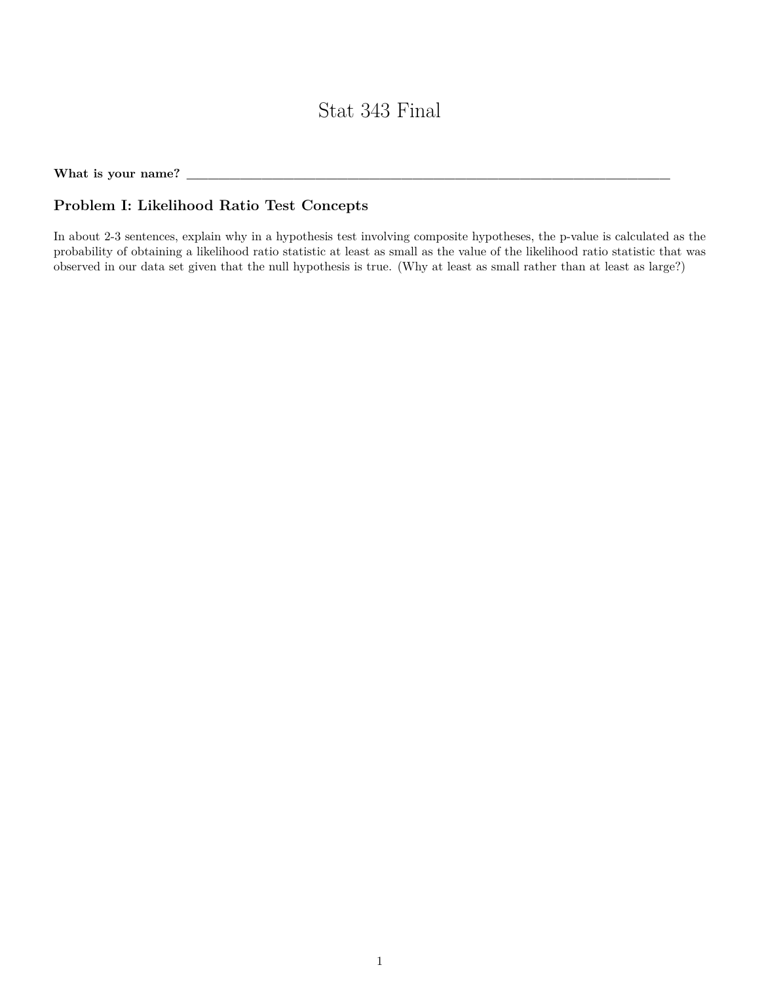# Stat 343 Final

What is your name? \_

## **Problem I: Likelihood Ratio Test Concepts**

In about 2-3 sentences, explain why in a hypothesis test involving composite hypotheses, the p-value is calculated as the probability of obtaining a likelihood ratio statistic at least as small as the value of the likelihood ratio statistic that was observed in our data set given that the null hypothesis is true. (Why at least as small rather than at least as large?)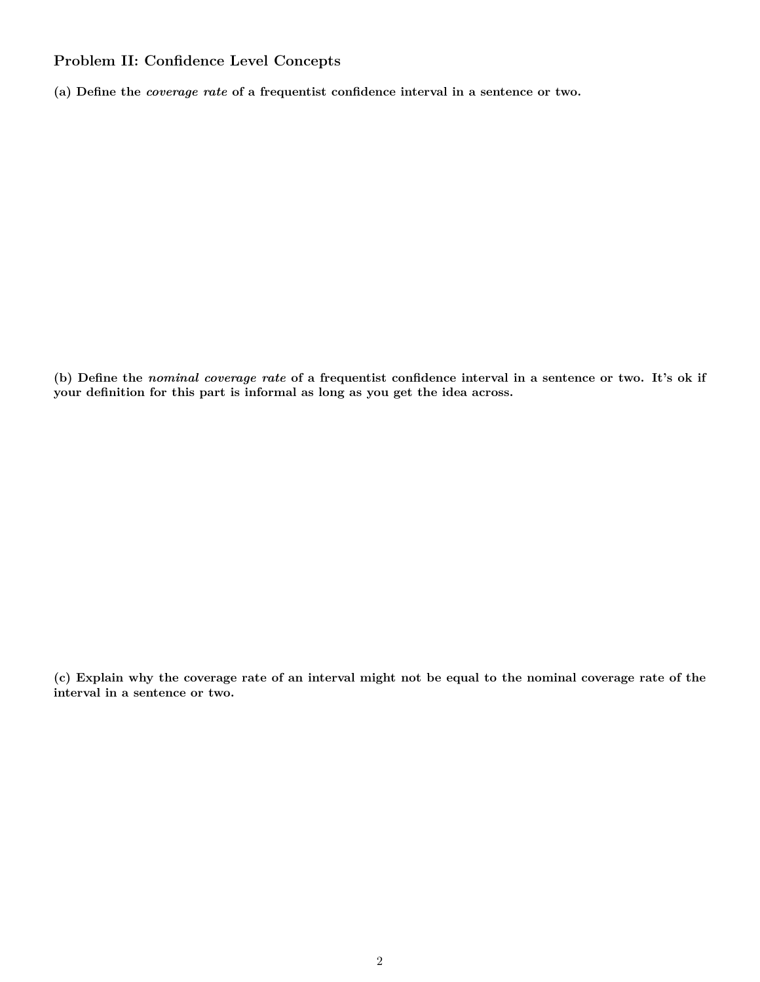### **Problem II: Confidence Level Concepts**

**(a) Define the** *coverage rate* **of a frequentist confidence interval in a sentence or two.**

**(b) Define the** *nominal coverage rate* **of a frequentist confidence interval in a sentence or two. It's ok if your definition for this part is informal as long as you get the idea across.**

**(c) Explain why the coverage rate of an interval might not be equal to the nominal coverage rate of the interval in a sentence or two.**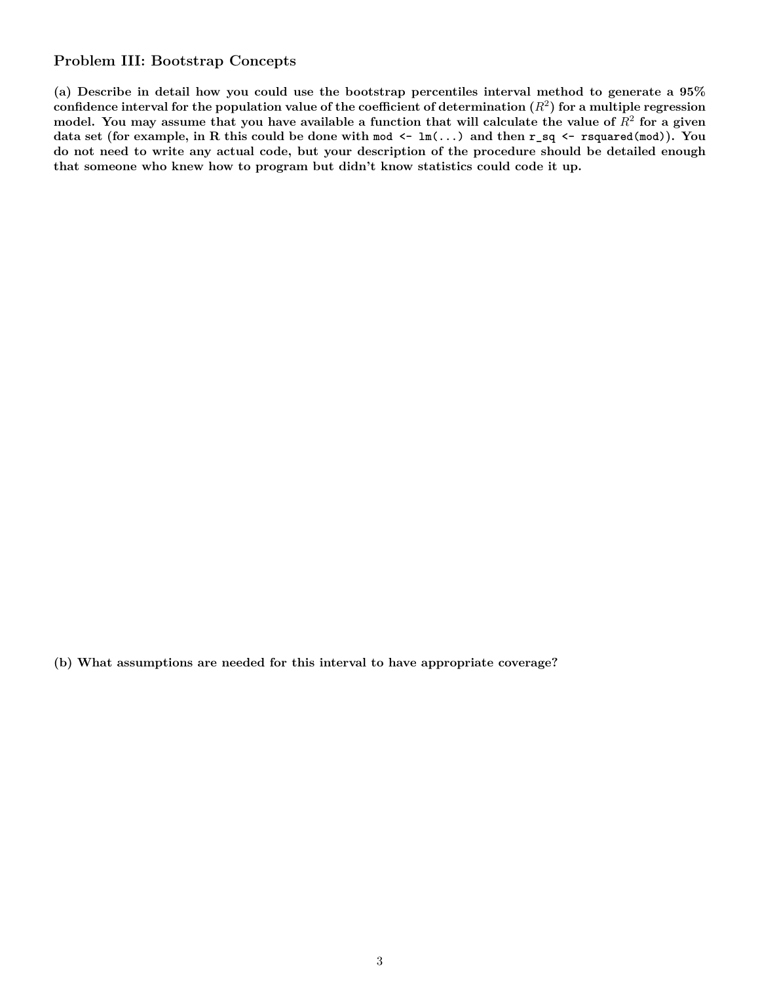#### **Problem III: Bootstrap Concepts**

**(a) Describe in detail how you could use the bootstrap percentiles interval method to generate a 95%**  $\bf{confidence\ interval\ for\ the\ population\ value\ of\ the\ coefficient\ of\ determinant\ on\ } (R^2) \ \bf{for\ a\ multiple\ regression}$  $\bm{m}$  model. You may assume that you have available a function that will calculate the value of  $R^2$  for a given **data set (for example, in R this could be done with mod <- lm(...) and then r\_sq <- rsquared(mod)). You do not need to write any actual code, but your description of the procedure should be detailed enough that someone who knew how to program but didn't know statistics could code it up.**

**(b) What assumptions are needed for this interval to have appropriate coverage?**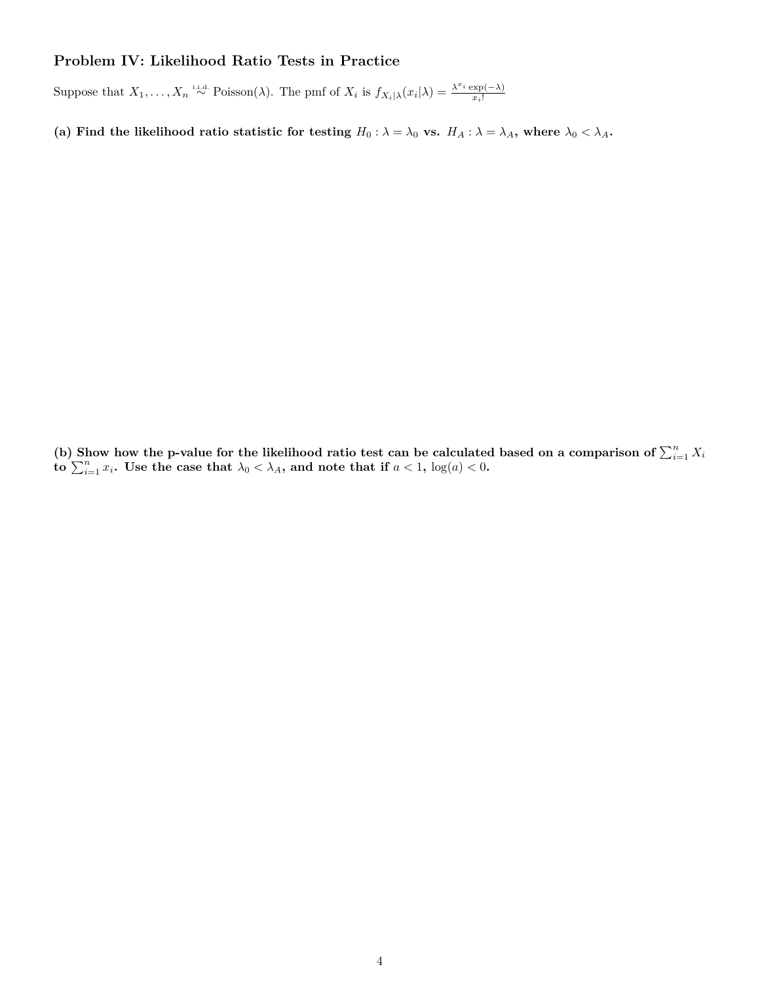## **Problem IV: Likelihood Ratio Tests in Practice**

Suppose that  $X_1, \ldots, X_n \stackrel{\text{i.i.d.}}{\sim} \text{Poisson}(\lambda)$ . The pmf of  $X_i$  is  $f_{X_i|\lambda}(x_i|\lambda) = \frac{\lambda^{x_i} \exp(-\lambda)}{x_i!}$ *xi*!

(a) Find the likelihood ratio statistic for testing  $H_0: \lambda = \lambda_0$  vs.  $H_A: \lambda = \lambda_A$ , where  $\lambda_0 < \lambda_A$ .

(b) Show how the p-value for the likelihood ratio test can be calculated based on a comparison of  $\sum_{i=1}^{n} X_i$  $\mathbf{to} \sum_{i=1}^{n} x_i$ . Use the case that  $\lambda_0 < \lambda_A$ , and note that if  $a < 1$ ,  $\log(a) < 0$ .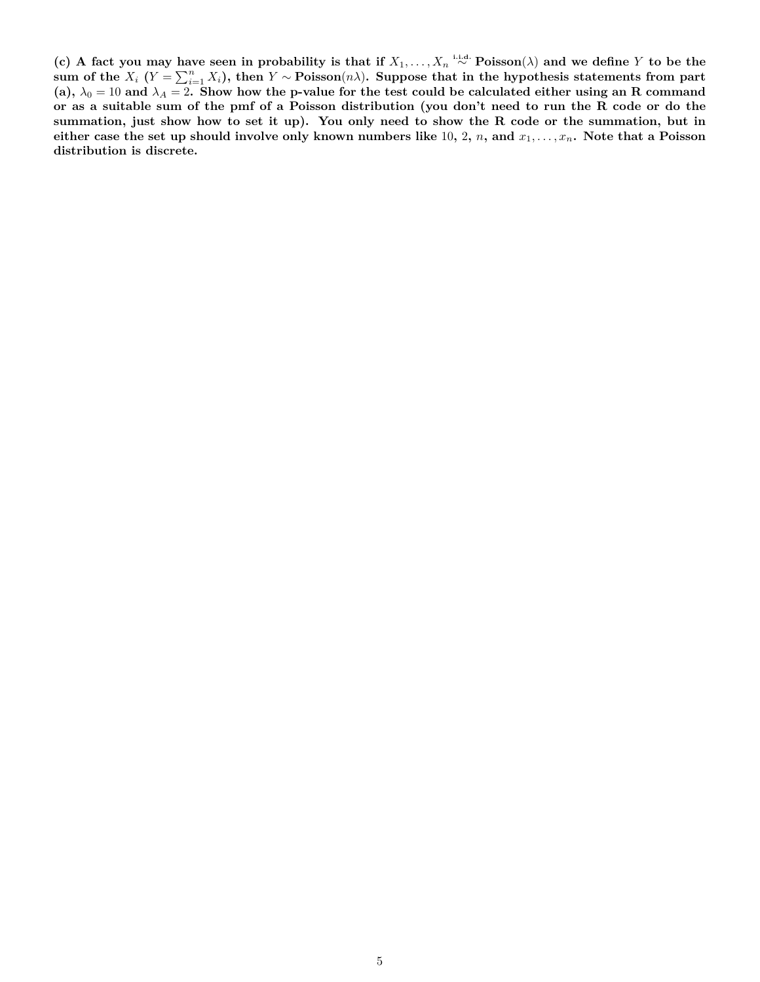**(c) A fact you may have seen in probability is that if** *X*1*, . . . , X<sup>n</sup>* **i.i.d.** ∼ **Poisson**(*λ*) **and we define** *Y* **to be the**  $\lim_{n \to \infty}$  of the  $X_i$  ( $Y = \sum_{i=1}^n X_i$ ), then  $Y \sim \text{Poisson}(n\lambda)$ . Suppose that in the hypothesis statements from part (a),  $\lambda_0 = 10$  and  $\lambda_A = 2$ . Show how the p-value for the test could be calculated either using an R command **or as a suitable sum of the pmf of a Poisson distribution (you don't need to run the R code or do the summation, just show how to set it up). You only need to show the R code or the summation, but in either case the set up should involve only known numbers like** 10**,** 2**,** *n***, and** *x*1*, . . . , xn***. Note that a Poisson distribution is discrete.**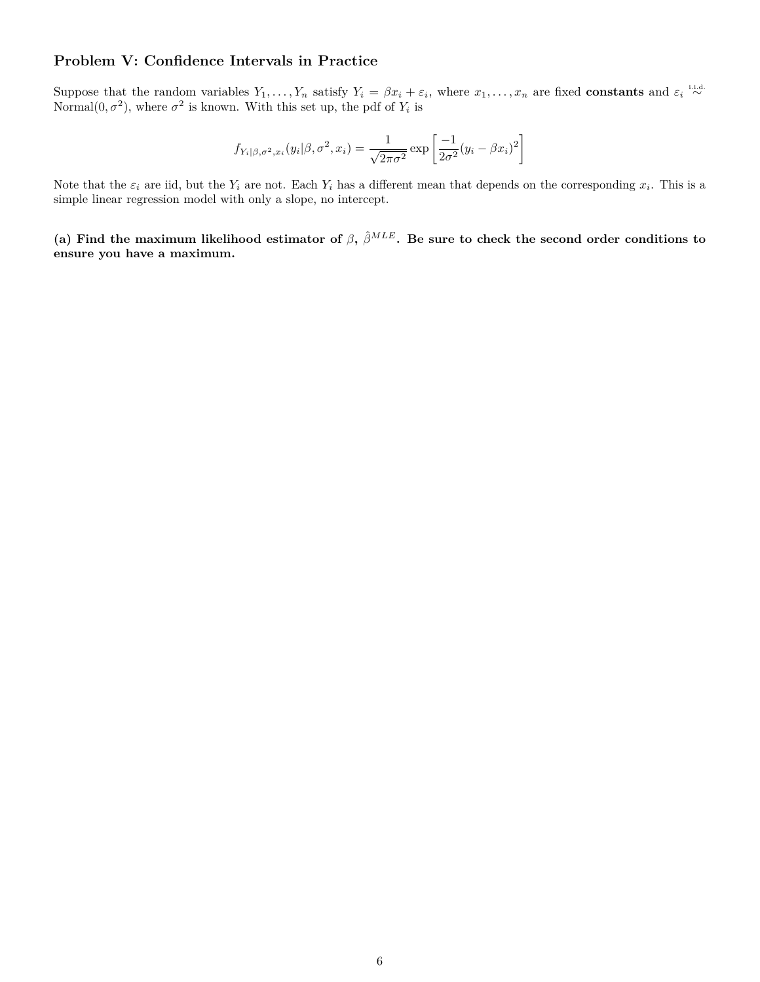#### **Problem V: Confidence Intervals in Practice**

Suppose that the random variables  $Y_1, \ldots, Y_n$  satisfy  $Y_i = \beta x_i + \varepsilon_i$ , where  $x_1, \ldots, x_n$  are fixed **constants** and  $\varepsilon_i \stackrel{\text{i.i.d.}}{\sim}$ Normal $(0, \sigma^2)$ , where  $\sigma^2$  is known. With this set up, the pdf of  $Y_i$  is

$$
f_{Y_i|\beta,\sigma^2,x_i}(y_i|\beta,\sigma^2,x_i) = \frac{1}{\sqrt{2\pi\sigma^2}} \exp\left[\frac{-1}{2\sigma^2}(y_i-\beta x_i)^2\right]
$$

Note that the  $\varepsilon_i$  are iid, but the  $Y_i$  are not. Each  $Y_i$  has a different mean that depends on the corresponding  $x_i$ . This is a simple linear regression model with only a slope, no intercept.

(a) Find the maximum likelihood estimator of  $\beta$ ,  $\hat{\beta}^{MLE}$ . Be sure to check the second order conditions to **ensure you have a maximum.**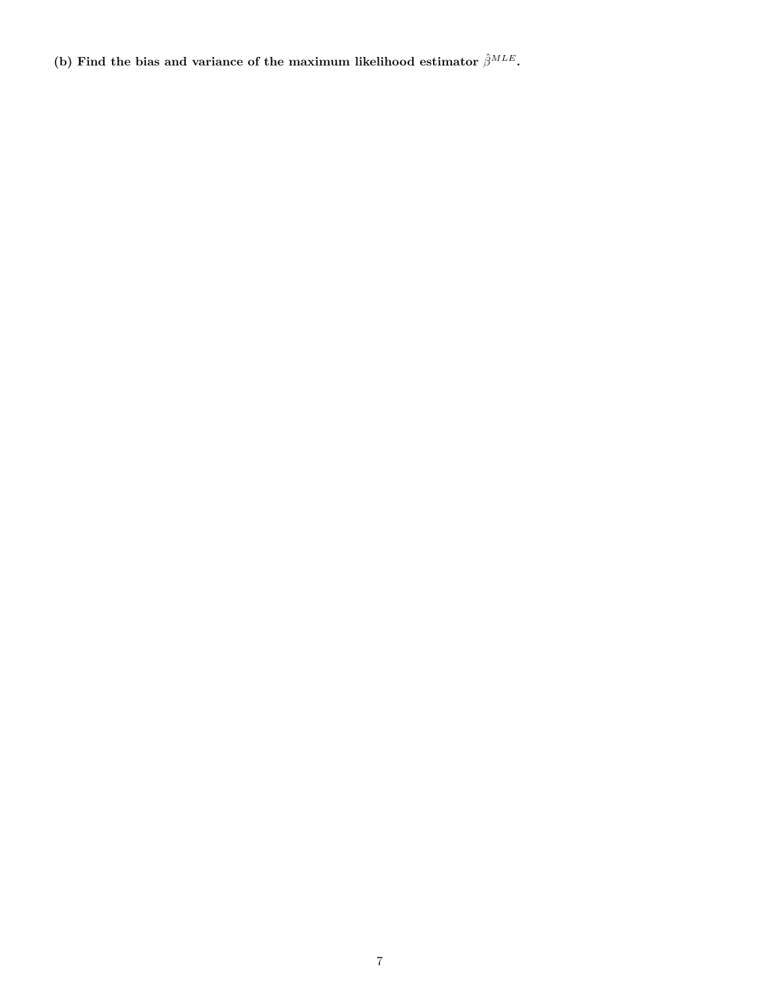(b) Find the bias and variance of the maximum likelihood estimator  $\hat{\beta}^{MLE}$ .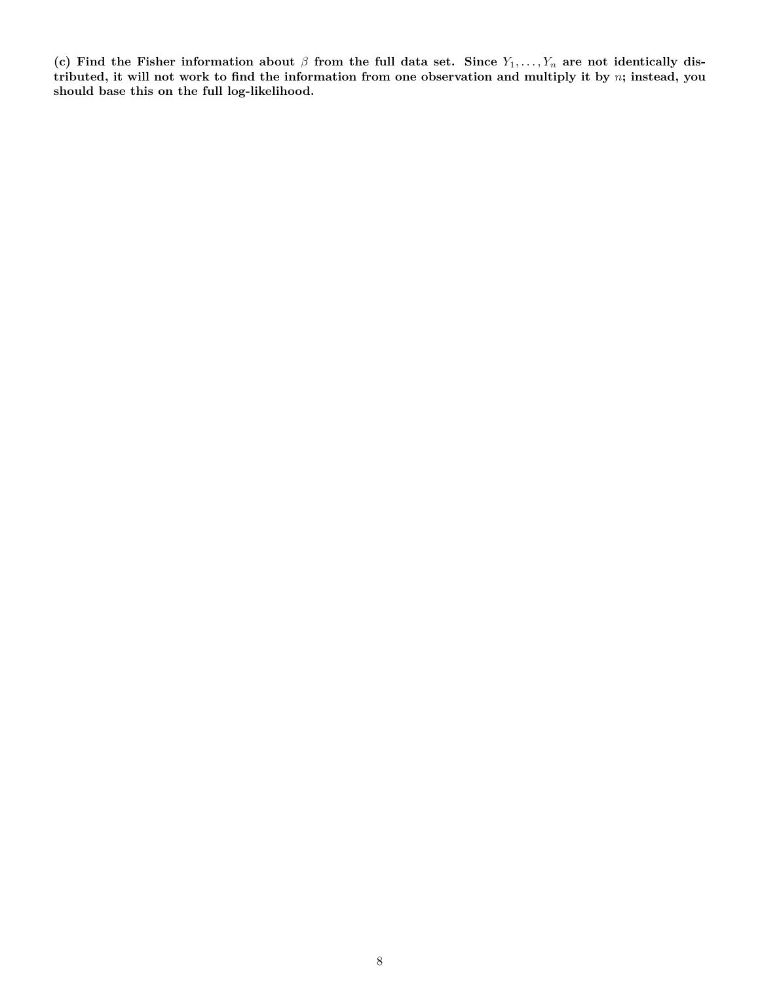(c) Find the Fisher information about  $\beta$  from the full data set. Since  $Y_1, \ldots, Y_n$  are not identically dis**tributed, it will not work to find the information from one observation and multiply it by** *n***; instead, you should base this on the full log-likelihood.**